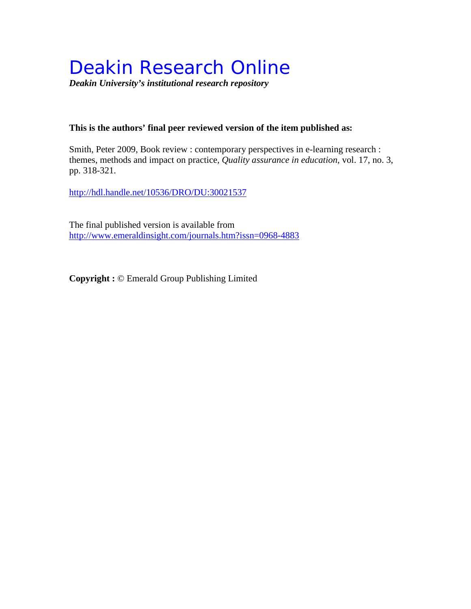# Deakin Research Online

*Deakin University's institutional research repository*

#### **This is the authors' final peer reviewed version of the item published as:**

Smith, Peter 2009, Book review : contemporary perspectives in e-learning research : themes, methods and impact on practice*, Quality assurance in education*, vol. 17, no. 3, pp. 318-321.

<http://hdl.handle.net/10536/DRO/DU:30021537>

The final published version is available from <http://www.emeraldinsight.com/journals.htm?issn=0968-4883>

**Copyright :** © Emerald Group Publishing Limited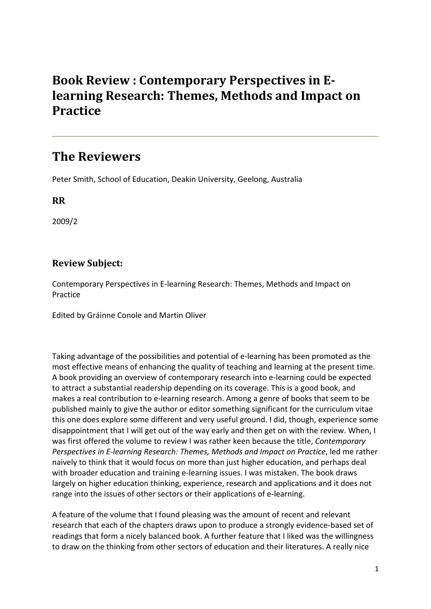## **Book Review : Contemporary Perspectives in Elearning Research: Themes, Methods and Impact on Practice**

### **The Reviewers**

Peter Smith, School of Education, Deakin University, Geelong, Australia

**RR**

2009/2

### **Review Subject:**

Contemporary Perspectives in E-learning Research: Themes, Methods and Impact on Practice

Edited by Gráinne Conole and Martin Oliver

Taking advantage of the possibilities and potential of e-learning has been promoted as the most effective means of enhancing the quality of teaching and learning at the present time. A book providing an overview of contemporary research into e-learning could be expected to attract a substantial readership depending on its coverage. This is a good book, and makes a real contribution to e-learning research. Among a genre of books that seem to be published mainly to give the author or editor something significant for the curriculum vitae this one does explore some different and very useful ground. I did, though, experience some disappointment that I will get out of the way early and then get on with the review. When, I was first offered the volume to review I was rather keen because the title, *Contemporary Perspectives in E-learning Research: Themes, Methods and Impact on Practice*, led me rather naively to think that it would focus on more than just higher education, and perhaps deal with broader education and training e-learning issues. I was mistaken. The book draws largely on higher education thinking, experience, research and applications and it does not range into the issues of other sectors or their applications of e-learning.

A feature of the volume that I found pleasing was the amount of recent and relevant research that each of the chapters draws upon to produce a strongly evidence-based set of readings that form a nicely balanced book. A further feature that I liked was the willingness to draw on the thinking from other sectors of education and their literatures. A really nice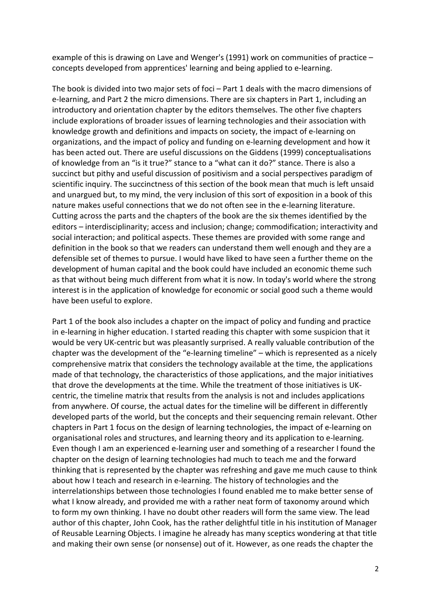example of this is drawing on Lave and Wenger's (1991) work on communities of practice – concepts developed from apprentices' learning and being applied to e-learning.

The book is divided into two major sets of foci – Part 1 deals with the macro dimensions of e-learning, and Part 2 the micro dimensions. There are six chapters in Part 1, including an introductory and orientation chapter by the editors themselves. The other five chapters include explorations of broader issues of learning technologies and their association with knowledge growth and definitions and impacts on society, the impact of e-learning on organizations, and the impact of policy and funding on e-learning development and how it has been acted out. There are useful discussions on the Giddens (1999) conceptualisations of knowledge from an "is it true?" stance to a "what can it do?" stance. There is also a succinct but pithy and useful discussion of positivism and a social perspectives paradigm of scientific inquiry. The succinctness of this section of the book mean that much is left unsaid and unargued but, to my mind, the very inclusion of this sort of exposition in a book of this nature makes useful connections that we do not often see in the e-learning literature. Cutting across the parts and the chapters of the book are the six themes identified by the editors – interdisciplinarity; access and inclusion; change; commodification; interactivity and social interaction; and political aspects. These themes are provided with some range and definition in the book so that we readers can understand them well enough and they are a defensible set of themes to pursue. I would have liked to have seen a further theme on the development of human capital and the book could have included an economic theme such as that without being much different from what it is now. In today's world where the strong interest is in the application of knowledge for economic or social good such a theme would have been useful to explore.

Part 1 of the book also includes a chapter on the impact of policy and funding and practice in e-learning in higher education. I started reading this chapter with some suspicion that it would be very UK-centric but was pleasantly surprised. A really valuable contribution of the chapter was the development of the "e-learning timeline" – which is represented as a nicely comprehensive matrix that considers the technology available at the time, the applications made of that technology, the characteristics of those applications, and the major initiatives that drove the developments at the time. While the treatment of those initiatives is UKcentric, the timeline matrix that results from the analysis is not and includes applications from anywhere. Of course, the actual dates for the timeline will be different in differently developed parts of the world, but the concepts and their sequencing remain relevant. Other chapters in Part 1 focus on the design of learning technologies, the impact of e-learning on organisational roles and structures, and learning theory and its application to e-learning. Even though I am an experienced e-learning user and something of a researcher I found the chapter on the design of learning technologies had much to teach me and the forward thinking that is represented by the chapter was refreshing and gave me much cause to think about how I teach and research in e-learning. The history of technologies and the interrelationships between those technologies I found enabled me to make better sense of what I know already, and provided me with a rather neat form of taxonomy around which to form my own thinking. I have no doubt other readers will form the same view. The lead author of this chapter, John Cook, has the rather delightful title in his institution of Manager of Reusable Learning Objects. I imagine he already has many sceptics wondering at that title and making their own sense (or nonsense) out of it. However, as one reads the chapter the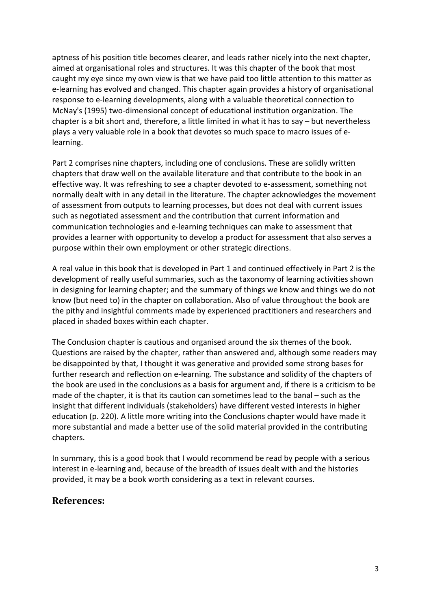aptness of his position title becomes clearer, and leads rather nicely into the next chapter, aimed at organisational roles and structures. It was this chapter of the book that most caught my eye since my own view is that we have paid too little attention to this matter as e-learning has evolved and changed. This chapter again provides a history of organisational response to e-learning developments, along with a valuable theoretical connection to McNay's (1995) two-dimensional concept of educational institution organization. The chapter is a bit short and, therefore, a little limited in what it has to say – but nevertheless plays a very valuable role in a book that devotes so much space to macro issues of elearning.

Part 2 comprises nine chapters, including one of conclusions. These are solidly written chapters that draw well on the available literature and that contribute to the book in an effective way. It was refreshing to see a chapter devoted to e-assessment, something not normally dealt with in any detail in the literature. The chapter acknowledges the movement of assessment from outputs to learning processes, but does not deal with current issues such as negotiated assessment and the contribution that current information and communication technologies and e-learning techniques can make to assessment that provides a learner with opportunity to develop a product for assessment that also serves a purpose within their own employment or other strategic directions.

A real value in this book that is developed in Part 1 and continued effectively in Part 2 is the development of really useful summaries, such as the taxonomy of learning activities shown in designing for learning chapter; and the summary of things we know and things we do not know (but need to) in the chapter on collaboration. Also of value throughout the book are the pithy and insightful comments made by experienced practitioners and researchers and placed in shaded boxes within each chapter.

The Conclusion chapter is cautious and organised around the six themes of the book. Questions are raised by the chapter, rather than answered and, although some readers may be disappointed by that, I thought it was generative and provided some strong bases for further research and reflection on e-learning. The substance and solidity of the chapters of the book are used in the conclusions as a basis for argument and, if there is a criticism to be made of the chapter, it is that its caution can sometimes lead to the banal – such as the insight that different individuals (stakeholders) have different vested interests in higher education (p. 220). A little more writing into the Conclusions chapter would have made it more substantial and made a better use of the solid material provided in the contributing chapters.

In summary, this is a good book that I would recommend be read by people with a serious interest in e-learning and, because of the breadth of issues dealt with and the histories provided, it may be a book worth considering as a text in relevant courses.

#### **References:**